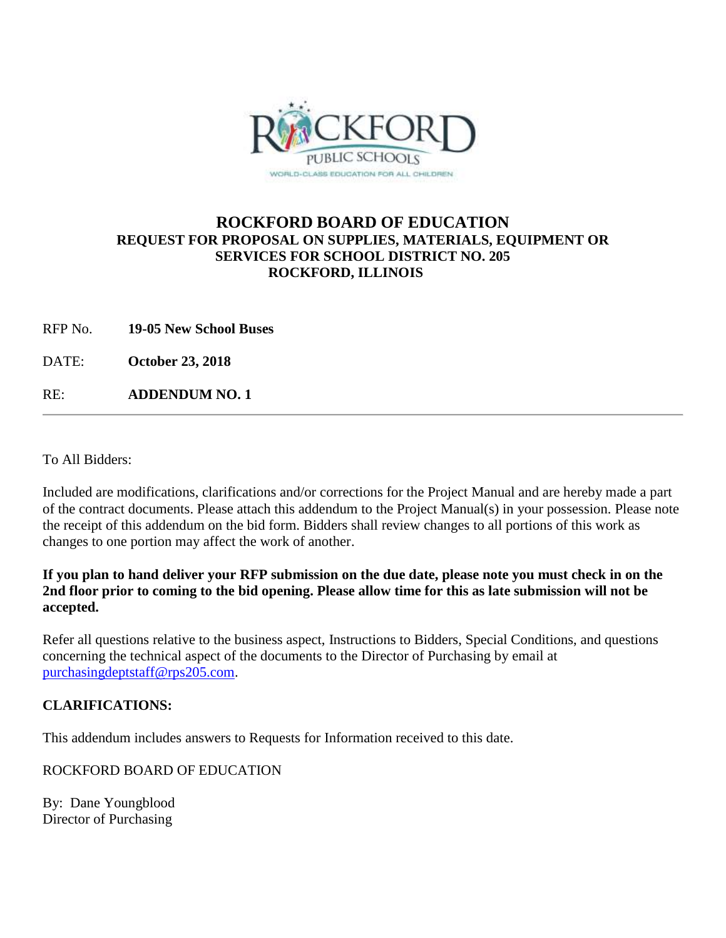

# **ROCKFORD BOARD OF EDUCATION REQUEST FOR PROPOSAL ON SUPPLIES, MATERIALS, EQUIPMENT OR SERVICES FOR SCHOOL DISTRICT NO. 205 ROCKFORD, ILLINOIS**

RFP No. **19-05 New School Buses**

DATE: **October 23, 2018**

RE: **ADDENDUM NO. 1**

To All Bidders:

Included are modifications, clarifications and/or corrections for the Project Manual and are hereby made a part of the contract documents. Please attach this addendum to the Project Manual(s) in your possession. Please note the receipt of this addendum on the bid form. Bidders shall review changes to all portions of this work as changes to one portion may affect the work of another.

### **If you plan to hand deliver your RFP submission on the due date, please note you must check in on the 2nd floor prior to coming to the bid opening. Please allow time for this as late submission will not be accepted.**

Refer all questions relative to the business aspect, Instructions to Bidders, Special Conditions, and questions concerning the technical aspect of the documents to the Director of Purchasing by email at [purchasingdeptstaff@rps205.com.](mailto:purchasingdeptstaff@rps205.com)

## **CLARIFICATIONS:**

This addendum includes answers to Requests for Information received to this date.

ROCKFORD BOARD OF EDUCATION

By: Dane Youngblood Director of Purchasing